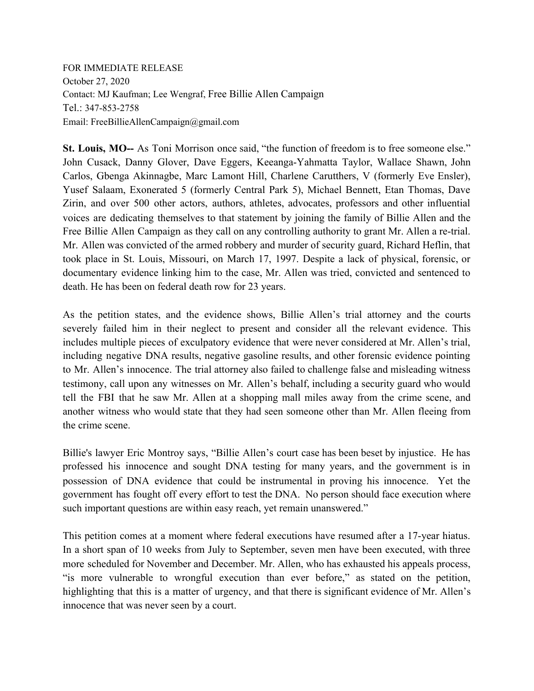FOR IMMEDIATE RELEASE October 27, 2020 Contact: MJ Kaufman; Lee Wengraf, Free Billie Allen Campaign Tel.: 347-853-2758 Email: FreeBillieAllenCampaign@gmail.com

**St. Louis, MO--** As Toni Morrison once said, "the function of freedom is to free someone else." John Cusack, Danny Glover, Dave Eggers, Keeanga-Yahmatta Taylor, Wallace Shawn, John Carlos, Gbenga Akinnagbe, Marc Lamont Hill, Charlene Carutthers, V (formerly Eve Ensler), Yusef Salaam, Exonerated 5 (formerly Central Park 5), Michael Bennett, Etan Thomas, Dave Zirin, and over 500 other actors, authors, athletes, advocates, professors and other influential voices are dedicating themselves to that statement by joining the family of Billie Allen and the Free Billie Allen Campaign as they call on any controlling authority to grant Mr. Allen a re-trial. Mr. Allen was convicted of the armed robbery and murder of security guard, Richard Heflin, that took place in St. Louis, Missouri, on March 17, 1997. Despite a lack of physical, forensic, or documentary evidence linking him to the case, Mr. Allen was tried, convicted and sentenced to death. He has been on federal death row for 23 years.

As the petition states, and the evidence shows, Billie Allen's trial attorney and the courts severely failed him in their neglect to present and consider all the relevant evidence. This includes multiple pieces of exculpatory evidence that were never considered at Mr. Allen's trial, including negative DNA results, negative gasoline results, and other forensic evidence pointing to Mr. Allen's innocence. The trial attorney also failed to challenge false and misleading witness testimony, call upon any witnesses on Mr. Allen's behalf, including a security guard who would tell the FBI that he saw Mr. Allen at a shopping mall miles away from the crime scene, and another witness who would state that they had seen someone other than Mr. Allen fleeing from the crime scene.

Billie's lawyer Eric Montroy says, "Billie Allen's court case has been beset by injustice. He has professed his innocence and sought DNA testing for many years, and the government is in possession of DNA evidence that could be instrumental in proving his innocence. Yet the government has fought off every effort to test the DNA. No person should face execution where such important questions are within easy reach, yet remain unanswered."

This petition comes at a moment where federal executions have resumed after a 17-year hiatus. In a short span of 10 weeks from July to September, seven men have been executed, with three more scheduled for November and December. Mr. Allen, who has exhausted his appeals process, "is more vulnerable to wrongful execution than ever before," as stated on the petition, highlighting that this is a matter of urgency, and that there is significant evidence of Mr. Allen's innocence that was never seen by a court.